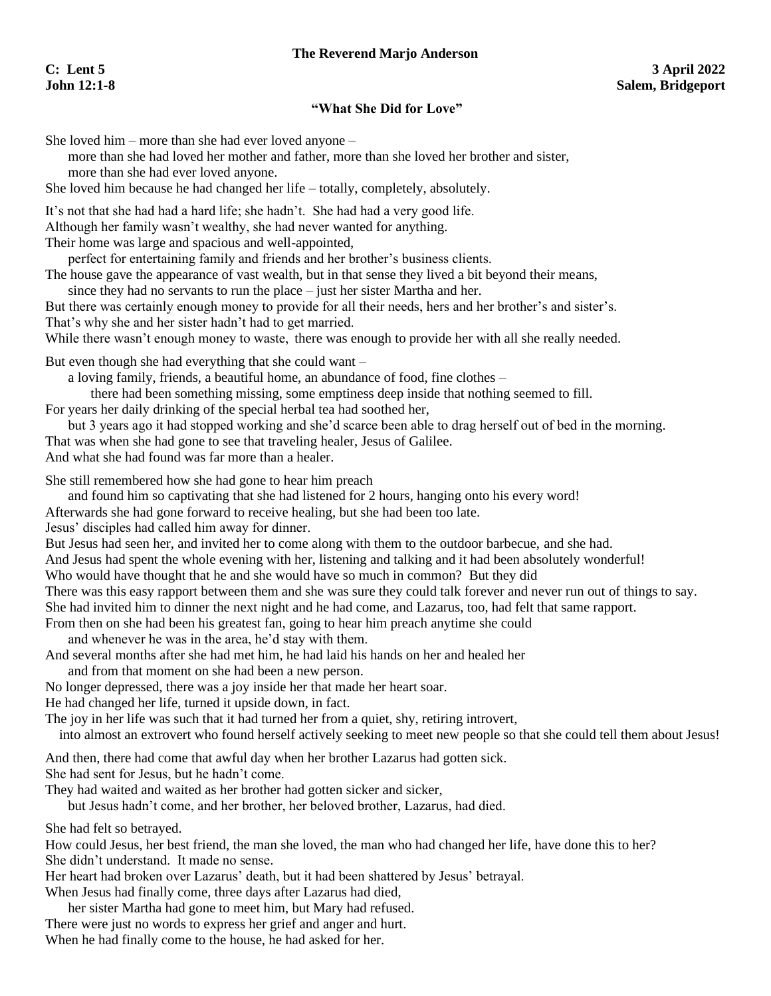## **The Reverend Marjo Anderson**

## **"What She Did for Love"**

She loved him – more than she had ever loved anyone –

more than she had loved her mother and father, more than she loved her brother and sister, more than she had ever loved anyone.

She loved him because he had changed her life – totally, completely, absolutely.

It's not that she had had a hard life; she hadn't. She had had a very good life.

Although her family wasn't wealthy, she had never wanted for anything.

Their home was large and spacious and well-appointed,

perfect for entertaining family and friends and her brother's business clients.

The house gave the appearance of vast wealth, but in that sense they lived a bit beyond their means,

since they had no servants to run the place – just her sister Martha and her.

But there was certainly enough money to provide for all their needs, hers and her brother's and sister's. That's why she and her sister hadn't had to get married.

While there wasn't enough money to waste, there was enough to provide her with all she really needed.

But even though she had everything that she could want –

a loving family, friends, a beautiful home, an abundance of food, fine clothes –

there had been something missing, some emptiness deep inside that nothing seemed to fill.

For years her daily drinking of the special herbal tea had soothed her,

but 3 years ago it had stopped working and she'd scarce been able to drag herself out of bed in the morning. That was when she had gone to see that traveling healer, Jesus of Galilee. And what she had found was far more than a healer.

She still remembered how she had gone to hear him preach

and found him so captivating that she had listened for 2 hours, hanging onto his every word!

Afterwards she had gone forward to receive healing, but she had been too late.

Jesus' disciples had called him away for dinner.

But Jesus had seen her, and invited her to come along with them to the outdoor barbecue, and she had.

And Jesus had spent the whole evening with her, listening and talking and it had been absolutely wonderful!

Who would have thought that he and she would have so much in common? But they did

There was this easy rapport between them and she was sure they could talk forever and never run out of things to say. She had invited him to dinner the next night and he had come, and Lazarus, too, had felt that same rapport.

From then on she had been his greatest fan, going to hear him preach anytime she could

and whenever he was in the area, he'd stay with them.

And several months after she had met him, he had laid his hands on her and healed her

and from that moment on she had been a new person.

No longer depressed, there was a joy inside her that made her heart soar.

He had changed her life, turned it upside down, in fact.

The joy in her life was such that it had turned her from a quiet, shy, retiring introvert,

into almost an extrovert who found herself actively seeking to meet new people so that she could tell them about Jesus!

And then, there had come that awful day when her brother Lazarus had gotten sick. She had sent for Jesus, but he hadn't come.

They had waited and waited as her brother had gotten sicker and sicker,

but Jesus hadn't come, and her brother, her beloved brother, Lazarus, had died.

She had felt so betrayed.

How could Jesus, her best friend, the man she loved, the man who had changed her life, have done this to her? She didn't understand. It made no sense.

Her heart had broken over Lazarus' death, but it had been shattered by Jesus' betrayal.

When Jesus had finally come, three days after Lazarus had died,

her sister Martha had gone to meet him, but Mary had refused.

There were just no words to express her grief and anger and hurt. When he had finally come to the house, he had asked for her.